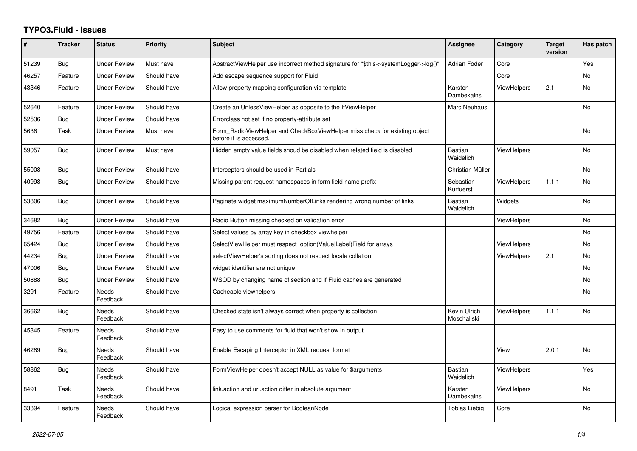## **TYPO3.Fluid - Issues**

| #     | <b>Tracker</b> | <b>Status</b>       | <b>Priority</b> | <b>Subject</b>                                                                                       | Assignee                    | Category           | <b>Target</b><br>version | Has patch |
|-------|----------------|---------------------|-----------------|------------------------------------------------------------------------------------------------------|-----------------------------|--------------------|--------------------------|-----------|
| 51239 | Bug            | <b>Under Review</b> | Must have       | AbstractViewHelper use incorrect method signature for "\$this->systemLogger->log()"                  | Adrian Föder                | Core               |                          | Yes       |
| 46257 | Feature        | Under Review        | Should have     | Add escape sequence support for Fluid                                                                |                             | Core               |                          | <b>No</b> |
| 43346 | Feature        | <b>Under Review</b> | Should have     | Allow property mapping configuration via template                                                    | Karsten<br>Dambekalns       | <b>ViewHelpers</b> | 2.1                      | No        |
| 52640 | Feature        | <b>Under Review</b> | Should have     | Create an UnlessViewHelper as opposite to the IfViewHelper                                           | Marc Neuhaus                |                    |                          | <b>No</b> |
| 52536 | Bug            | <b>Under Review</b> | Should have     | Errorclass not set if no property-attribute set                                                      |                             |                    |                          |           |
| 5636  | Task           | <b>Under Review</b> | Must have       | Form RadioViewHelper and CheckBoxViewHelper miss check for existing object<br>before it is accessed. |                             |                    |                          | <b>No</b> |
| 59057 | <b>Bug</b>     | <b>Under Review</b> | Must have       | Hidden empty value fields shoud be disabled when related field is disabled                           | <b>Bastian</b><br>Waidelich | <b>ViewHelpers</b> |                          | No        |
| 55008 | <b>Bug</b>     | <b>Under Review</b> | Should have     | Interceptors should be used in Partials                                                              | Christian Müller            |                    |                          | <b>No</b> |
| 40998 | <b>Bug</b>     | <b>Under Review</b> | Should have     | Missing parent request namespaces in form field name prefix                                          | Sebastian<br>Kurfuerst      | <b>ViewHelpers</b> | 1.1.1                    | <b>No</b> |
| 53806 | Bug            | <b>Under Review</b> | Should have     | Paginate widget maximumNumberOfLinks rendering wrong number of links                                 | <b>Bastian</b><br>Waidelich | Widgets            |                          | No        |
| 34682 | <b>Bug</b>     | <b>Under Review</b> | Should have     | Radio Button missing checked on validation error                                                     |                             | <b>ViewHelpers</b> |                          | No        |
| 49756 | Feature        | <b>Under Review</b> | Should have     | Select values by array key in checkbox viewhelper                                                    |                             |                    |                          | <b>No</b> |
| 65424 | Bug            | Under Review        | Should have     | SelectViewHelper must respect option(Value Label)Field for arrays                                    |                             | <b>ViewHelpers</b> |                          | No        |
| 44234 | <b>Bug</b>     | <b>Under Review</b> | Should have     | selectViewHelper's sorting does not respect locale collation                                         |                             | <b>ViewHelpers</b> | 2.1                      | <b>No</b> |
| 47006 | <b>Bug</b>     | <b>Under Review</b> | Should have     | widget identifier are not unique                                                                     |                             |                    |                          | <b>No</b> |
| 50888 | Bug            | <b>Under Review</b> | Should have     | WSOD by changing name of section and if Fluid caches are generated                                   |                             |                    |                          | <b>No</b> |
| 3291  | Feature        | Needs<br>Feedback   | Should have     | Cacheable viewhelpers                                                                                |                             |                    |                          | <b>No</b> |
| 36662 | <b>Bug</b>     | Needs<br>Feedback   | Should have     | Checked state isn't always correct when property is collection                                       | Kevin Ulrich<br>Moschallski | <b>ViewHelpers</b> | 1.1.1                    | <b>No</b> |
| 45345 | Feature        | Needs<br>Feedback   | Should have     | Easy to use comments for fluid that won't show in output                                             |                             |                    |                          |           |
| 46289 | <b>Bug</b>     | Needs<br>Feedback   | Should have     | Enable Escaping Interceptor in XML request format                                                    |                             | View               | 2.0.1                    | <b>No</b> |
| 58862 | <b>Bug</b>     | Needs<br>Feedback   | Should have     | FormViewHelper doesn't accept NULL as value for \$arguments                                          | <b>Bastian</b><br>Waidelich | <b>ViewHelpers</b> |                          | Yes       |
| 8491  | Task           | Needs<br>Feedback   | Should have     | link.action and uri.action differ in absolute argument                                               | Karsten<br>Dambekalns       | <b>ViewHelpers</b> |                          | No        |
| 33394 | Feature        | Needs<br>Feedback   | Should have     | Logical expression parser for BooleanNode                                                            | Tobias Liebig               | Core               |                          | <b>No</b> |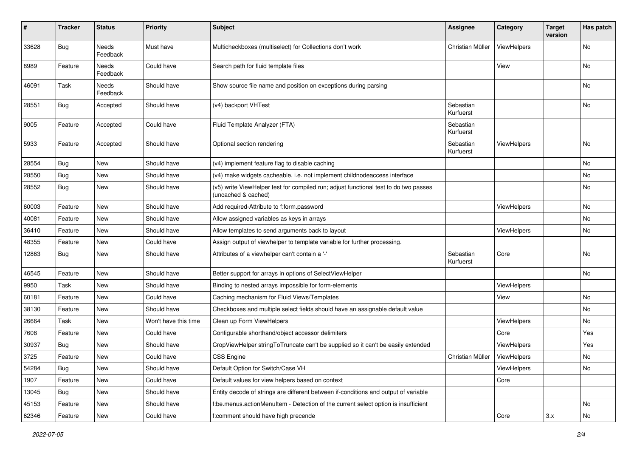| $\vert$ # | <b>Tracker</b> | <b>Status</b>     | <b>Priority</b>      | <b>Subject</b>                                                                                              | <b>Assignee</b>        | Category    | <b>Target</b><br>version | Has patch |
|-----------|----------------|-------------------|----------------------|-------------------------------------------------------------------------------------------------------------|------------------------|-------------|--------------------------|-----------|
| 33628     | <b>Bug</b>     | Needs<br>Feedback | Must have            | Multicheckboxes (multiselect) for Collections don't work                                                    | Christian Müller       | ViewHelpers |                          | <b>No</b> |
| 8989      | Feature        | Needs<br>Feedback | Could have           | Search path for fluid template files                                                                        |                        | View        |                          | No        |
| 46091     | Task           | Needs<br>Feedback | Should have          | Show source file name and position on exceptions during parsing                                             |                        |             |                          | No        |
| 28551     | Bug            | Accepted          | Should have          | (v4) backport VHTest                                                                                        | Sebastian<br>Kurfuerst |             |                          | No        |
| 9005      | Feature        | Accepted          | Could have           | Fluid Template Analyzer (FTA)                                                                               | Sebastian<br>Kurfuerst |             |                          |           |
| 5933      | Feature        | Accepted          | Should have          | Optional section rendering                                                                                  | Sebastian<br>Kurfuerst | ViewHelpers |                          | No        |
| 28554     | Bug            | New               | Should have          | (v4) implement feature flag to disable caching                                                              |                        |             |                          | No        |
| 28550     | Bug            | New               | Should have          | (v4) make widgets cacheable, i.e. not implement childnodeaccess interface                                   |                        |             |                          | No        |
| 28552     | Bug            | New               | Should have          | (v5) write ViewHelper test for compiled run; adjust functional test to do two passes<br>(uncached & cached) |                        |             |                          | No        |
| 60003     | Feature        | <b>New</b>        | Should have          | Add required-Attribute to f:form.password                                                                   |                        | ViewHelpers |                          | No        |
| 40081     | Feature        | New               | Should have          | Allow assigned variables as keys in arrays                                                                  |                        |             |                          | No        |
| 36410     | Feature        | New               | Should have          | Allow templates to send arguments back to layout                                                            |                        | ViewHelpers |                          | No        |
| 48355     | Feature        | New               | Could have           | Assign output of viewhelper to template variable for further processing.                                    |                        |             |                          |           |
| 12863     | Bug            | New               | Should have          | Attributes of a viewhelper can't contain a '-'                                                              | Sebastian<br>Kurfuerst | Core        |                          | No        |
| 46545     | Feature        | New               | Should have          | Better support for arrays in options of SelectViewHelper                                                    |                        |             |                          | No        |
| 9950      | Task           | New               | Should have          | Binding to nested arrays impossible for form-elements                                                       |                        | ViewHelpers |                          |           |
| 60181     | Feature        | <b>New</b>        | Could have           | Caching mechanism for Fluid Views/Templates                                                                 |                        | View        |                          | No        |
| 38130     | Feature        | New               | Should have          | Checkboxes and multiple select fields should have an assignable default value                               |                        |             |                          | No        |
| 26664     | Task           | New               | Won't have this time | Clean up Form ViewHelpers                                                                                   |                        | ViewHelpers |                          | No        |
| 7608      | Feature        | New               | Could have           | Configurable shorthand/object accessor delimiters                                                           |                        | Core        |                          | Yes       |
| 30937     | Bug            | New               | Should have          | CropViewHelper stringToTruncate can't be supplied so it can't be easily extended                            |                        | ViewHelpers |                          | Yes       |
| 3725      | Feature        | New               | Could have           | <b>CSS Engine</b>                                                                                           | Christian Müller       | ViewHelpers |                          | No        |
| 54284     | Bug            | New               | Should have          | Default Option for Switch/Case VH                                                                           |                        | ViewHelpers |                          | No        |
| 1907      | Feature        | New               | Could have           | Default values for view helpers based on context                                                            |                        | Core        |                          |           |
| 13045     | <b>Bug</b>     | New               | Should have          | Entity decode of strings are different between if-conditions and output of variable                         |                        |             |                          |           |
| 45153     | Feature        | New               | Should have          | f:be.menus.actionMenuItem - Detection of the current select option is insufficient                          |                        |             |                          | No        |
| 62346     | Feature        | New               | Could have           | f:comment should have high precende                                                                         |                        | Core        | 3.x                      | No        |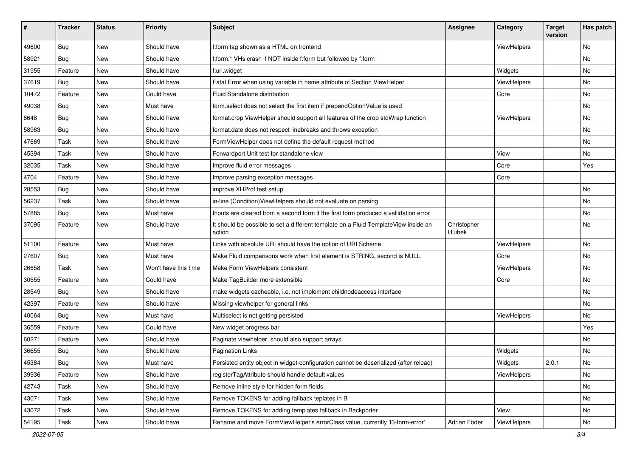| #     | <b>Tracker</b> | <b>Status</b> | <b>Priority</b>      | Subject                                                                                       | <b>Assignee</b>       | Category    | <b>Target</b><br>version | Has patch |
|-------|----------------|---------------|----------------------|-----------------------------------------------------------------------------------------------|-----------------------|-------------|--------------------------|-----------|
| 49600 | Bug            | New           | Should have          | f:form tag shown as a HTML on frontend                                                        |                       | ViewHelpers |                          | <b>No</b> |
| 58921 | Bug            | New           | Should have          | f:form.* VHs crash if NOT inside f:form but followed by f:form                                |                       |             |                          | No        |
| 31955 | Feature        | New           | Should have          | f:uri.widget                                                                                  |                       | Widgets     |                          | No        |
| 37619 | Bug            | New           | Should have          | Fatal Error when using variable in name attribute of Section ViewHelper                       |                       | ViewHelpers |                          | <b>No</b> |
| 10472 | Feature        | New           | Could have           | Fluid Standalone distribution                                                                 |                       | Core        |                          | No        |
| 49038 | Bug            | <b>New</b>    | Must have            | form.select does not select the first item if prependOptionValue is used                      |                       |             |                          | <b>No</b> |
| 8648  | Bug            | New           | Should have          | format.crop ViewHelper should support all features of the crop stdWrap function               |                       | ViewHelpers |                          | No        |
| 58983 | Bug            | New           | Should have          | format.date does not respect linebreaks and throws exception                                  |                       |             |                          | No        |
| 47669 | Task           | New           | Should have          | FormViewHelper does not define the default request method                                     |                       |             |                          | No        |
| 45394 | Task           | New           | Should have          | Forwardport Unit test for standalone view                                                     |                       | View        |                          | No        |
| 32035 | Task           | New           | Should have          | Improve fluid error messages                                                                  |                       | Core        |                          | Yes       |
| 4704  | Feature        | New           | Should have          | Improve parsing exception messages                                                            |                       | Core        |                          |           |
| 28553 | Bug            | New           | Should have          | improve XHProf test setup                                                                     |                       |             |                          | <b>No</b> |
| 56237 | Task           | New           | Should have          | in-line (Condition) ViewHelpers should not evaluate on parsing                                |                       |             |                          | <b>No</b> |
| 57885 | Bug            | New           | Must have            | Inputs are cleared from a second form if the first form produced a vallidation error          |                       |             |                          | No        |
| 37095 | Feature        | New           | Should have          | It should be possible to set a different template on a Fluid TemplateView inside an<br>action | Christopher<br>Hlubek |             |                          | <b>No</b> |
| 51100 | Feature        | New           | Must have            | Links with absolute URI should have the option of URI Scheme                                  |                       | ViewHelpers |                          | No        |
| 27607 | Bug            | New           | Must have            | Make Fluid comparisons work when first element is STRING, second is NULL.                     |                       | Core        |                          | <b>No</b> |
| 26658 | Task           | New           | Won't have this time | Make Form ViewHelpers consistent                                                              |                       | ViewHelpers |                          | No        |
| 30555 | Feature        | <b>New</b>    | Could have           | Make TagBuilder more extensible                                                               |                       | Core        |                          | No        |
| 28549 | Bug            | New           | Should have          | make widgets cacheable, i.e. not implement childnodeaccess interface                          |                       |             |                          | No        |
| 42397 | Feature        | New           | Should have          | Missing viewhelper for general links                                                          |                       |             |                          | No        |
| 40064 | Bug            | New           | Must have            | Multiselect is not getting persisted                                                          |                       | ViewHelpers |                          | No        |
| 36559 | Feature        | New           | Could have           | New widget progress bar                                                                       |                       |             |                          | Yes       |
| 60271 | Feature        | New           | Should have          | Paginate viewhelper, should also support arrays                                               |                       |             |                          | No        |
| 36655 | <b>Bug</b>     | New           | Should have          | <b>Pagination Links</b>                                                                       |                       | Widgets     |                          | No        |
| 45384 | <b>Bug</b>     | New           | Must have            | Persisted entity object in widget-configuration cannot be deserialized (after reload)         |                       | Widgets     | 2.0.1                    | No        |
| 39936 | Feature        | New           | Should have          | registerTagAttribute should handle default values                                             |                       | ViewHelpers |                          | No        |
| 42743 | Task           | New           | Should have          | Remove inline style for hidden form fields                                                    |                       |             |                          | No        |
| 43071 | Task           | New           | Should have          | Remove TOKENS for adding fallback teplates in B                                               |                       |             |                          | No        |
| 43072 | Task           | New           | Should have          | Remove TOKENS for adding templates fallback in Backporter                                     |                       | View        |                          | No        |
| 54195 | Task           | New           | Should have          | Rename and move FormViewHelper's errorClass value, currently 'f3-form-error'                  | Adrian Föder          | ViewHelpers |                          | No        |